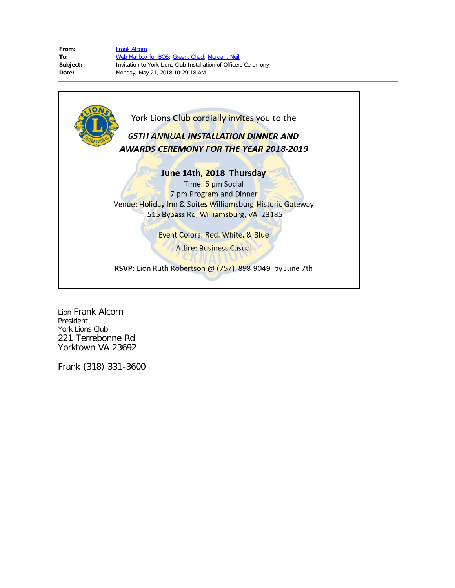| From:    | <b>Frank Alcorn</b>                                             |
|----------|-----------------------------------------------------------------|
| To:      | Web Mailbox for BOS; Green, Chad; Morgan, Neil                  |
| Subject: | Invitation to York Lions Club Installation of Officers Ceremony |
| Date:    | Monday, May 21, 2018 10:29:18 AM                                |
|          |                                                                 |



Lion Frank Alcorn President York Lions Club 221 Terrebonne Rd Yorktown VA 23692

Frank (318) 331-3600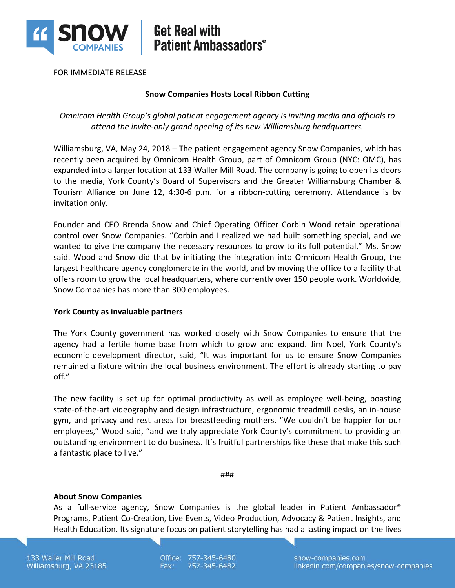

## **Get Real with Patient Ambassadors®**

FOR IMMEDIATE RELEASE

## **Snow Companies Hosts Local Ribbon Cutting**

*Omnicom Health Group's global patient engagement agency is inviting media and officials to attend the invite-only grand opening of its new Williamsburg headquarters.*

Williamsburg, VA, May 24, 2018 – The patient engagement agency Snow Companies, which has recently been acquired by Omnicom Health Group, part of Omnicom Group (NYC: OMC), has expanded into a larger location at 133 Waller Mill Road. The company is going to open its doors to the media, York County's Board of Supervisors and the Greater Williamsburg Chamber & Tourism Alliance on June 12, 4:30-6 p.m. for a ribbon-cutting ceremony. Attendance is by invitation only.

Founder and CEO Brenda Snow and Chief Operating Officer Corbin Wood retain operational control over Snow Companies. "Corbin and I realized we had built something special, and we wanted to give the company the necessary resources to grow to its full potential," Ms. Snow said. Wood and Snow did that by initiating the integration into Omnicom Health Group, the largest healthcare agency conglomerate in the world, and by moving the office to a facility that offers room to grow the local headquarters, where currently over 150 people work. Worldwide, Snow Companies has more than 300 employees.

#### **York County as invaluable partners**

The York County government has worked closely with Snow Companies to ensure that the agency had a fertile home base from which to grow and expand. Jim Noel, York County's economic development director, said, "It was important for us to ensure Snow Companies remained a fixture within the local business environment. The effort is already starting to pay off."

The new facility is set up for optimal productivity as well as employee well-being, boasting state-of-the-art videography and design infrastructure, ergonomic treadmill desks, an in-house gym, and privacy and rest areas for breastfeeding mothers. "We couldn't be happier for our employees," Wood said, "and we truly appreciate York County's commitment to providing an outstanding environment to do business. It's fruitful partnerships like these that make this such a fantastic place to live."

###

#### **About Snow Companies**

As a full-service agency, Snow Companies is the global leader in Patient Ambassador® Programs, Patient Co-Creation, Live Events, Video Production, Advocacy & Patient Insights, and Health Education. Its signature focus on patient storytelling has had a lasting impact on the lives

133 Waller Mill Road Williamsburg, VA 23185 Office: 757-345-6480 757-345-6482 Fax:

snow-companies.com linkedin.com/companies/snow-companies